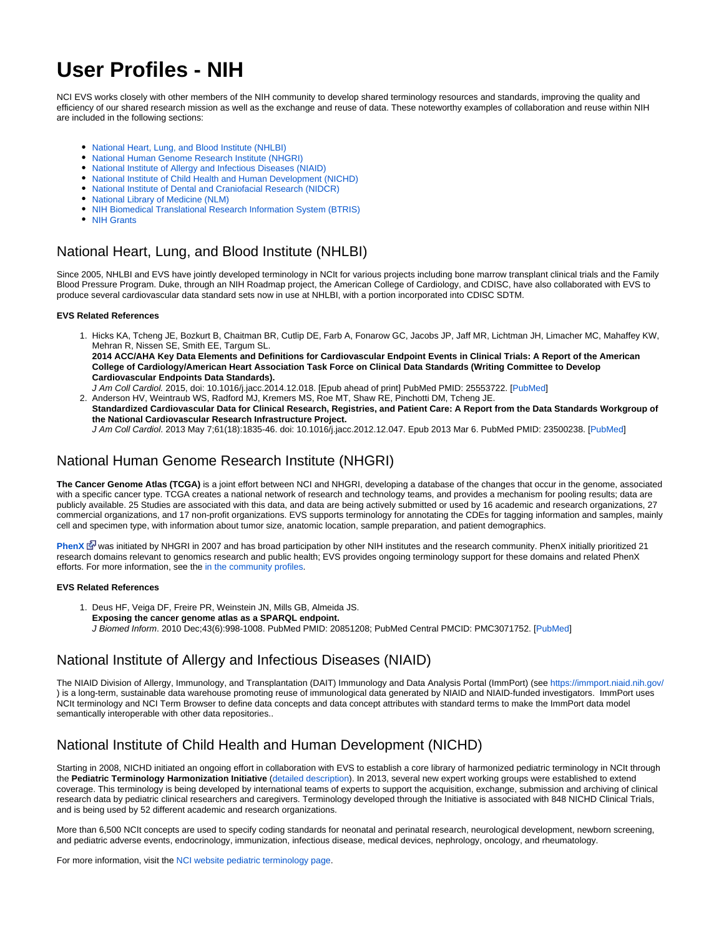# **User Profiles - NIH**

NCI EVS works closely with other members of the NIH community to develop shared terminology resources and standards, improving the quality and efficiency of our shared research mission as well as the exchange and reuse of data. These noteworthy examples of collaboration and reuse within NIH are included in the following sections:

- [National Heart, Lung, and Blood Institute \(NHLBI\)](#page-0-0)
- [National Human Genome Research Institute \(NHGRI\)](#page-0-1)
- [National Institute of Allergy and Infectious Diseases \(NIAID\)](#page-0-2)
- [National Institute of Child Health and Human Development \(NICHD\)](#page-0-3)
- [National Institute of Dental and Craniofacial Research \(NIDCR\)](#page-1-0)
- [National Library of Medicine \(NLM\)](#page-1-1)
- [NIH Biomedical Translational Research Information System \(BTRIS\)](#page-2-0)
- [NIH Grants](#page-2-1)

### <span id="page-0-0"></span>National Heart, Lung, and Blood Institute (NHLBI)

Since 2005, NHLBI and EVS have jointly developed terminology in NCIt for various projects including bone marrow transplant clinical trials and the Family Blood Pressure Program. Duke, through an NIH Roadmap project, the American College of Cardiology, and CDISC, have also collaborated with EVS to produce several cardiovascular data standard sets now in use at NHLBI, with a portion incorporated into CDISC SDTM.

#### **EVS Related References**

- 1. Hicks KA, Tcheng JE, Bozkurt B, Chaitman BR, Cutlip DE, Farb A, Fonarow GC, Jacobs JP, Jaff MR, Lichtman JH, Limacher MC, Mahaffey KW, Mehran R, Nissen SE, Smith EE, Targum SL. **2014 ACC/AHA Key Data Elements and Definitions for Cardiovascular Endpoint Events in Clinical Trials: A Report of the American College of Cardiology/American Heart Association Task Force on Clinical Data Standards (Writing Committee to Develop Cardiovascular Endpoints Data Standards).**
- 2. Anderson HV, Weintraub WS, Radford MJ, Kremers MS, Roe MT, Shaw RE, Pinchotti DM, Tcheng JE. J Am Coll Cardiol. 2015, doi: 10.1016/j.jacc.2014.12.018. [Epub ahead of print] PubMed PMID: 25553722. [[PubMed\]](http://www.ncbi.nlm.nih.gov/pubmed/25553722) **Standardized Cardiovascular Data for Clinical Research, Registries, and Patient Care: A Report from the Data Standards Workgroup of the National Cardiovascular Research Infrastructure Project.**

J Am Coll Cardiol. 2013 May 7;61(18):1835-46. doi: 10.1016/j.jacc.2012.12.047. Epub 2013 Mar 6. PubMed PMID: 23500238. [[PubMed](http://www.ncbi.nlm.nih.gov/pubmed/23500238)]

### <span id="page-0-1"></span>National Human Genome Research Institute (NHGRI)

**The Cancer Genome Atlas (TCGA)** is a joint effort between NCI and NHGRI, developing a database of the changes that occur in the genome, associated with a specific cancer type. TCGA creates a national network of research and technology teams, and provides a mechanism for pooling results; data are publicly available. 25 Studies are associated with this data, and data are being actively submitted or used by 16 academic and research organizations, 27 commercial organizations, and 17 non-profit organizations. EVS supports terminology for annotating the CDEs for tagging information and samples, mainly cell and specimen type, with information about tumor size, anatomic location, sample preparation, and patient demographics.

[PhenX](https://www.phenx.org/) L<sup>T</sup> was initiated by NHGRI in 2007 and has broad participation by other NIH institutes and the research community. PhenX initially prioritized 21 research domains relevant to genomics research and public health; EVS provides ongoing terminology support for these domains and related PhenX efforts. For more information, see the [in the community profiles](https://wiki.nci.nih.gov/display/EVS/14+-+User+Profiles+-+Broader+Community#id-14-UserProfiles-BroaderCommunity-PhenX).

#### **EVS Related References**

1. Deus HF, Veiga DF, Freire PR, Weinstein JN, Mills GB, Almeida JS. **Exposing the cancer genome atlas as a SPARQL endpoint.** J Biomed Inform. 2010 Dec;43(6):998-1008. PubMed PMID: 20851208; PubMed Central PMCID: PMC3071752. [[PubMed\]](http://www.ncbi.nlm.nih.gov/pubmed/20851208)

### <span id="page-0-2"></span>National Institute of Allergy and Infectious Diseases (NIAID)

The NIAID Division of Allergy, Immunology, and Transplantation (DAIT) Immunology and Data Analysis Portal (ImmPort) (see <https://immport.niaid.nih.gov/> ) is a long-term, sustainable data warehouse promoting reuse of immunological data generated by NIAID and NIAID-funded investigators. ImmPort uses NCIt terminology and NCI Term Browser to define data concepts and data concept attributes with standard terms to make the ImmPort data model semantically interoperable with other data repositories..

### <span id="page-0-3"></span>National Institute of Child Health and Human Development (NICHD)

Starting in 2008, NICHD initiated an ongoing effort in collaboration with EVS to establish a core library of harmonized pediatric terminology in NCIt through the **Pediatric Terminology Harmonization Initiative** ([detailed description](http://www.nichd.nih.gov/health/clinicalresearch/clinical-researchers/terminology/Pages/index.aspx)). In 2013, several new expert working groups were established to extend coverage. This terminology is being developed by international teams of experts to support the acquisition, exchange, submission and archiving of clinical research data by pediatric clinical researchers and caregivers. Terminology developed through the Initiative is associated with 848 NICHD Clinical Trials, and is being used by 52 different academic and research organizations.

More than 6,500 NCIt concepts are used to specify coding standards for neonatal and perinatal research, neurological development, newborn screening, and pediatric adverse events, endocrinology, immunization, infectious disease, medical devices, nephrology, oncology, and rheumatology.

For more information, visit the [NCI website pediatric terminology page.](http://www.cancer.gov/cancertopics/cancerlibrary/terminologyresources/pediatric)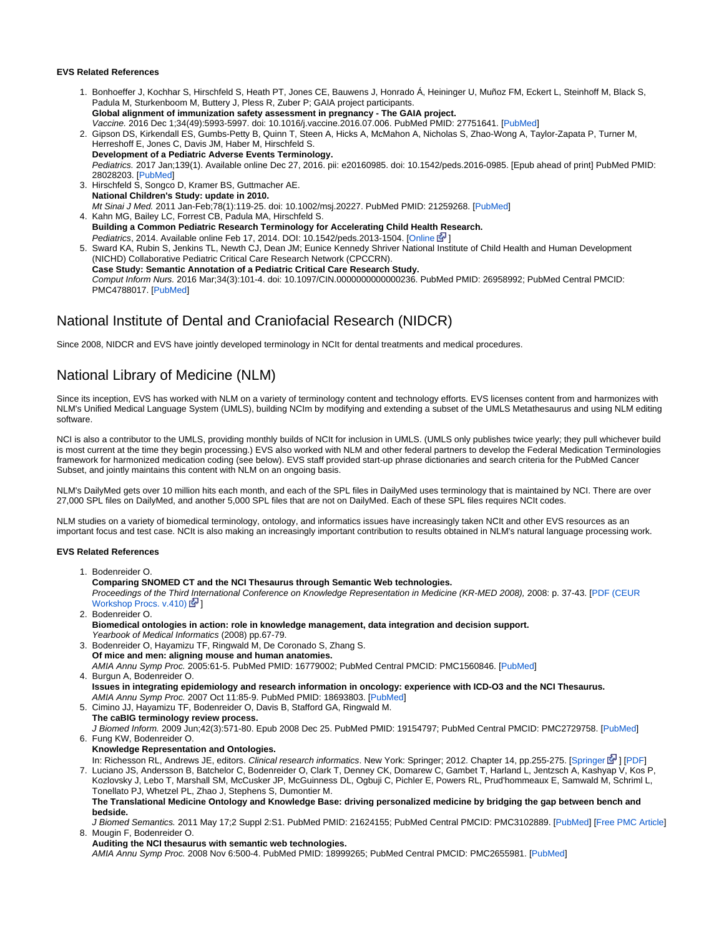#### **EVS Related References**

- 1. Bonhoeffer J, Kochhar S, Hirschfeld S, Heath PT, Jones CE, Bauwens J, Honrado Á, Heininger U, Muñoz FM, Eckert L, Steinhoff M, Black S, Padula M, Sturkenboom M, Buttery J, Pless R, Zuber P; GAIA project participants. **Global alignment of immunization safety assessment in pregnancy - The GAIA project.** Vaccine. 2016 Dec 1;34(49):5993-5997. doi: 10.1016/j.vaccine.2016.07.006. PubMed PMID: 27751641. [\[PubMed](https://www.ncbi.nlm.nih.gov/pubmed/27751641)]
- 2. Gipson DS, Kirkendall ES, Gumbs-Petty B, Quinn T, Steen A, Hicks A, McMahon A, Nicholas S, Zhao-Wong A, Taylor-Zapata P, Turner M, Herreshoff E, Jones C, Davis JM, Haber M, Hirschfeld S. **Development of a Pediatric Adverse Events Terminology.** Pediatrics. 2017 Jan;139(1). Available online Dec 27, 2016. pii: e20160985. doi: 10.1542/peds.2016-0985. [Epub ahead of print] PubMed PMID: 28028203. [[PubMed\]](https://www.ncbi.nlm.nih.gov/pubmed/28028203)
- 3. Hirschfeld S, Songco D, Kramer BS, Guttmacher AE. **National Children's Study: update in 2010.** Mt Sinai J Med. 2011 Jan-Feb;78(1):119-25. doi: 10.1002/msj.20227. PubMed PMID: 21259268. [[PubMed\]](http://www.ncbi.nlm.nih.gov/pubmed/21259268)
- 4. Kahn MG, Bailey LC, Forrest CB, Padula MA, Hirschfeld S. 5. **Building a Common Pediatric Research Terminology for Accelerating Child Healt[h Re](http://www.cancer.gov/policies/linking)search.** Pediatrics, 2014. Available online Feb 17, 2014. DOI: 10.1542/peds.2013-1504. [\[Online](http://pediatrics.aappublications.org/content/early/2014/02/11/peds.2013-1504) L<sup>at</sup>] Sward KA, Rubin S, Jenkins TL, Newth CJ, Dean JM; Eunice Kennedy Shriver National Institute of Child Health and Human Development

(NICHD) Collaborative Pediatric Critical Care Research Network (CPCCRN). **Case Study: Semantic Annotation of a Pediatric Critical Care Research Study.** Comput Inform Nurs. 2016 Mar;34(3):101-4. doi: 10.1097/CIN.0000000000000236. PubMed PMID: 26958992; PubMed Central PMCID: PMC4788017. [\[PubMed](https://www.ncbi.nlm.nih.gov/pubmed/26958992)]

### <span id="page-1-0"></span>National Institute of Dental and Craniofacial Research (NIDCR)

Since 2008, NIDCR and EVS have jointly developed terminology in NCIt for dental treatments and medical procedures.

### <span id="page-1-1"></span>National Library of Medicine (NLM)

Since its inception, EVS has worked with NLM on a variety of terminology content and technology efforts. EVS licenses content from and harmonizes with NLM's Unified Medical Language System (UMLS), building NCIm by modifying and extending a subset of the UMLS Metathesaurus and using NLM editing software.

NCI is also a contributor to the UMLS, providing monthly builds of NCIt for inclusion in UMLS. (UMLS only publishes twice yearly; they pull whichever build is most current at the time they begin processing.) EVS also worked with NLM and other federal partners to develop the Federal Medication Terminologies framework for harmonized medication coding (see below). EVS staff provided start-up phrase dictionaries and search criteria for the PubMed Cancer Subset, and jointly maintains this content with NLM on an ongoing basis.

NLM's DailyMed gets over 10 million hits each month, and each of the SPL files in DailyMed uses terminology that is maintained by NCI. There are over 27,000 SPL files on DailyMed, and another 5,000 SPL files that are not on DailyMed. Each of these SPL files requires NCIt codes.

NLM studies on a variety of biomedical terminology, ontology, and informatics issues have increasingly taken NCIt and other EVS resources as an important focus and test case. NCIt is also making an increasingly important contribution to results obtained in NLM's natural language processing work.

### **EVS Related References**

- 1. Bodenreider O. 2. Bodenreider O. **Comparing SNOMED CT and the NCI Thesaurus through Semantic Web technologies.** Proceedings of the Third International Conference on Knowledge Representation in Medicine (KR-MED 2008), 2008: p. 37-43. [[PDF \(CEUR](http://sunsite.informatik.rwth-aachen.de/Publications/CEUR-WS/Vol-410/Paper07.pdf)  [Workshop Procs. v.410\)](http://sunsite.informatik.rwth-aachen.de/Publications/CEUR-WS/Vol-410/Paper07.pdf)  $\mathbb{F}$
- **Biomedical ontologies in action: role in knowledge management, data integration and decision support.** Yearbook of Medical Informatics (2008) pp.67-79.
- 3. Bodenreider O, Hayamizu TF, Ringwald M, De Coronado S, Zhang S. **Of mice and men: aligning mouse and human anatomies.**
- 4. Burgun A, Bodenreider O. AMIA Annu Symp Proc. 2005:61-5. PubMed PMID: 16779002; PubMed Central PMCID: PMC1560846. [[PubMed\]](http://www.ncbi.nlm.nih.gov/pubmed/16779002)
- **Issues in integrating epidemiology and research information in oncology: experience with ICD-O3 and the NCI Thesaurus.** AMIA Annu Symp Proc. 2007 Oct 11:85-9. PubMed PMID: 18693803. [[PubMed\]](http://www.ncbi.nlm.nih.gov/pubmed/18693803)
- 5. Cimino JJ, Hayamizu TF, Bodenreider O, Davis B, Stafford GA, Ringwald M. **The caBIG terminology review process.**

6. Fung KW, Bodenreider O. J Biomed Inform. 2009 Jun;42(3):571-80. Epub 2008 Dec 25. PubMed PMID: 19154797; PubMed Central PMCID: PMC2729758. [\[PubMed](http://www.ncbi.nlm.nih.gov/pubmed/19154797)]

**Knowledge Representation and Ontologies.**

In: Richesson RL, Andrews JE, editors. Clinical research informatics. New York: [Springer](http://www.springerlink.com/content/q432l1341240xw31/); 2012. Chapter 14, pp.255-275. [Springer E-1[\]](http://www.cancer.gov/policies/linking) [[PDF\]](http://mor2.nlm.nih.gov/pubs/pdf/2011-springer_ch14-kwf.pdf)

7. Luciano JS, Andersson B, Batchelor C, Bodenreider O, Clark T, Denney CK, Domarew C, Gambet T, Harland L, Jentzsch A, Kashyap V, Kos P, Kozlovsky J, Lebo T, Marshall SM, McCusker JP, McGuinness DL, Ogbuji C, Pichler E, Powers RL, Prud'hommeaux E, Samwald M, Schriml L, Tonellato PJ, Whetzel PL, Zhao J, Stephens S, Dumontier M.

**The Translational Medicine Ontology and Knowledge Base: driving personalized medicine by bridging the gap between bench and bedside.**

8. Mougin F, Bodenreider O. J Biomed Semantics. 2011 May 17;2 Suppl 2:S1. PubMed PMID: 21624155; PubMed Central PMCID: PMC3102889. [\[PubMed](http://www.ncbi.nlm.nih.gov/pubmed/21624155)] [\[Free PMC Article\]](http://www.ncbi.nlm.nih.gov/pubmed/21624155)

**Auditing the NCI thesaurus with semantic web technologies.**

AMIA Annu Symp Proc. 2008 Nov 6:500-4. PubMed PMID: 18999265; PubMed Central PMCID: PMC2655981. [[PubMed\]](http://www.ncbi.nlm.nih.gov/pubmed/18999265)